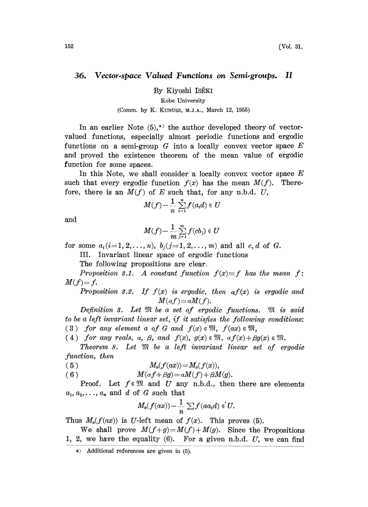## 36. Vector-space Valued Functions on Semi-groups. II

By Kiyoshi ISÉKI

Kobe University

## (Comm. by K. KUNUGI, M.J.A., March 12, 1955)

In an earlier Note  $(5)$ ,<sup>\*</sup> the author developed theory of vectorvalued functions, especially almost periodic functions and ergodic functions on a semi-group  $G$  into a locally convex vector space  $E$ and proved the existence theorem of the mean value of ergodic function for some spaces.

In this Note, we shall consider a locally convex vector space  $E$ such that every ergodic function  $f(x)$  has the mean  $M(f)$ . Therefore, there is an  $M(f)$  of E such that, for any n.b.d. U,

$$
M(f) - \frac{1}{n} \sum_{i=1}^n f(a_i d) \in U
$$

and

$$
M(f) - \frac{1}{m} \sum_{j=1}^m f(cb_j) \in U
$$

for some  $a_i(i=1, 2, ..., n)$ ,  $b_i(j=1, 2, ..., m)$  and all c, d of G.

III. Invariant linear space of ergodic functions

The following propositions are clear.

Proposition 3.1. A constant function  $f(x) \equiv f$  has the mean f:  $M(f)=f.$ 

Proposition 3.2. If  $f(x)$  is ergodic, then  $af(x)$  is ergodic and  $M(af)=aM(f)$ .

Definition 3. Let  $\mathfrak M$  be a set of ergodic functions.  $\mathfrak M$  is said to be a left invariant linear set, if it satisfies the following conditions: (3) for any element a of G and  $f(x) \in \mathfrak{M}$ ,  $f(ax) \in \mathfrak{M}$ ,

(4) for any reals, a,  $\beta$ , and  $f(x)$ ,  $g(x) \in \mathfrak{M}$ ,  $\alpha f(x) + \beta g(x) \in \mathfrak{M}$ .

Theorem 8. Let  $\mathfrak M$  be a left invariant linear set of ergodic function, then

(5) 
$$
M_x(f(ax)) = M_x(f(x)),
$$
  
(6) 
$$
M(\alpha f + \beta g) = \alpha M(f) + \beta M(g).
$$

Proof. Let  $f \in \mathfrak{M}$  and U any n.b.d., then there are elements a<sub>1</sub>,  $a_2, \ldots, a_n$  and d of G such that<br>  $M_n(f(ax)) - \frac{1}{n} \sum f(aa_i d)$ 

$$
M_{\mathfrak{m}}(f(ax)) - \frac{1}{n} \sum f(aa_id) \in U.
$$

Thus  $M_{\alpha}(f(ax))$  is U-left mean of  $f(x)$ . This proves (5).

We shall prove  $M(f+g)=M(f)+M(g)$ . Since the Propositions 1, 2, we have the equality  $(6)$ . For a given n.b.d. U, we can find

Additional references are given in (5).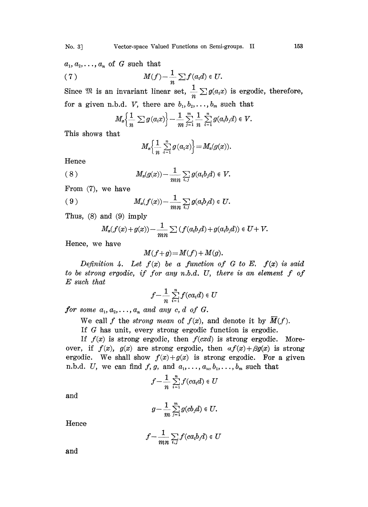$a_1, a_2, \ldots, a_n$  of G such that

(7) 
$$
M(f) - \frac{1}{n} \sum f(a_i d) \in U.
$$

Since  $\mathfrak{M}$  is an invariant linear set,  $\frac{1}{a} \sum g(a_i x)$  is ergodic, therefore, for a given n.b.d. *V*, there are  $b_1, b_2, \ldots, b_m$  such that

$$
M_{\mathscr{B}}\left\{\frac{1}{n}\sum g(a_ix)\right\}-\frac{1}{m}\sum_{j=1}^m\frac{1}{n}\sum_{i=1}^n g(a_ib_jd)\in V.
$$

This shows that

$$
M_{\mathfrak{m}}\left\{\frac{1}{n}\sum_{i=1}^n g(a_ix)\right\}=M_{\mathfrak{m}}(g(x)).
$$

Hence

$$
(8) \t\t\t M_x(g(x)) - \frac{1}{mn} \sum_{i,j} g(a_i b_j d) \in V.
$$

From (7), we have

$$
(9) \t\t\t\t M_x(f(x)) - \frac{1}{mn} \sum_{i,j} g(a_i b_j d) \in U.
$$

Thus, (8) and (9) imply

$$
M_x(f(x)+g(x))-\frac{1}{mn}\sum (f(a_ib_jd)+g(a_ib_jd))\in U+V.
$$

Hence, we have

$$
M(f+g) = M(f) + M(g).
$$

Definition 4. Let  $f(x)$  be a function of G to E.  $f(x)$  is said to be strong ergodic, if for any n.b.d. U, there is an element f of E such that

$$
f-\frac{1}{n}\sum_{i=1}^n f(ca_id) \in U
$$

for some  $a_1, a_2, \ldots, a_n$  and any c, d of G.

We call f the strong mean of  $f(x)$ , and denote it by  $\overline{M}(f)$ .

If G has unit, every strong ergodic function is ergodic..

If  $f(x)$  is strong ergodic, then  $f(cxd)$  is strong ergodic. Moreover, if  $f(x)$ ,  $g(x)$  are strong ergodic, then  $af(x)+\beta g(x)$  is strong ergodic. We shall show  $f(x)+g(x)$  is strong ergodic. For a given n.b.d. U, we can find f, g, and  $a_1, \ldots, a_n, b_1, \ldots, b_m$  such that

$$
f-\frac{1}{n}\sum_{i=1}^n f(ca_id) \in U
$$

and

$$
g-\frac{1}{m}\sum_{j=1}^mg(cb_jd)\in U.
$$

Hence

$$
f-\frac{1}{mn}\sum_{i,j}f(ca_ib_jd)\in U
$$

and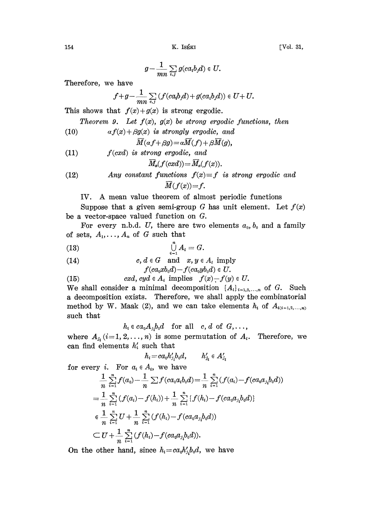$$
g-\frac{1}{mn}\sum_{i,j}g(ca_ib_jd)\in U.
$$

Therefore, we have

$$
f+g-\frac{1}{mn}\sum_{i,j}\left(f(ca_ib_jd)+g(ca_ib_jd)\right)\in U+U.
$$

This shows that  $f(x)+g(x)$  is strong ergodic.

Theorem 9. Let  $f(x)$ ,  $g(x)$  be strong ergodic functions, then

$$
(10) \t af(x) + \beta g(x) \t is \ strongly \ ergodic, \ and
$$

$$
M(\alpha f+\beta g)\!=\!\alpha M(f)+\beta M(g),
$$

(11) 
$$
f(cxd)
$$
 is strong ergodic, and  
\n
$$
\overline{M}_x(f(cxd)) = \overline{M}_x(f(x)).
$$

(12) Any constant functions 
$$
f(x) \equiv f
$$
 is strong ergodic and  $\overline{M}(f(x)) = f$ .

IV. A mean value theorem of almost periodic functions

Suppose that a given semi-group G has unit element. Let  $f(x)$ be a vector-space valued function on G.

For every n.b.d. U, there are two elements  $a_0, b_0$  and a family of sets,  $A_1, \ldots, A_n$  of G such that

$$
\bigcup_{i=1}^n A_i = G.
$$

(14) 
$$
c, d \in G \quad \text{and} \quad x, y \in A_i \text{ imply}
$$

$$
f(ca_0xb_0d)-f(ca_0yb_0d)\in U.
$$

(15) 
$$
cxd, cyd \in A_i
$$
 implies  $f(x) - f(y) \in U$ .

We shall consider a minimal decomposition  $\{A_i\}_{i=1,2,...,n}$  of G. Such a decomposition exists. Therefore, we shall apply the combinatorial method by W. Maak (2), and we can take elements  $h_i$  of  $A_{(i-1,2,...,n)}$ such that

 $h_i \in ca_0 A_{j_i} b_0 d$  for all  $c, d$  of  $G, \ldots$ ,

where  $A_{j_i}$  (i=1, 2,..., n) is some permutation of  $A_i$ . Therefore, we can find elements  $h_i$  such that

$$
h_i\!=\!ca_0h_{j_i}'b_0d,\qquad h_{j_i}'\in A_{j_i}'
$$

for every *i*. For  $a_i \in A_i$ , we have

$$
\frac{1}{n} \sum_{i=1}^{n} f(a_0) - \frac{1}{n} \sum f(ca_0a_ib_0d) = \frac{1}{n} \sum_{i=1}^{n} (f(a_i) - f(ca_0a_jb_0d))
$$
\n
$$
= \frac{1}{n} \sum_{i=1}^{n} (f(a_i) - f(h_i)) + \frac{1}{n} \sum_{i=1}^{n} \{f(h_i) - f(ca_0a_jb_0d)\}
$$
\n
$$
\in \frac{1}{n} \sum_{i=1}^{n} U + \frac{1}{n} \sum_{i=1}^{n} (f(h_i) - f(ca_0a_jb_0d))
$$
\n
$$
\subset U + \frac{1}{n} \sum_{i=1}^{n} (f(h_i) - f(ca_0a_jb_0d)).
$$

On the other hand, since  $h_i=ca_0h'_i, b_0d$ , we have

154 K. ISKI [Vol. 31,